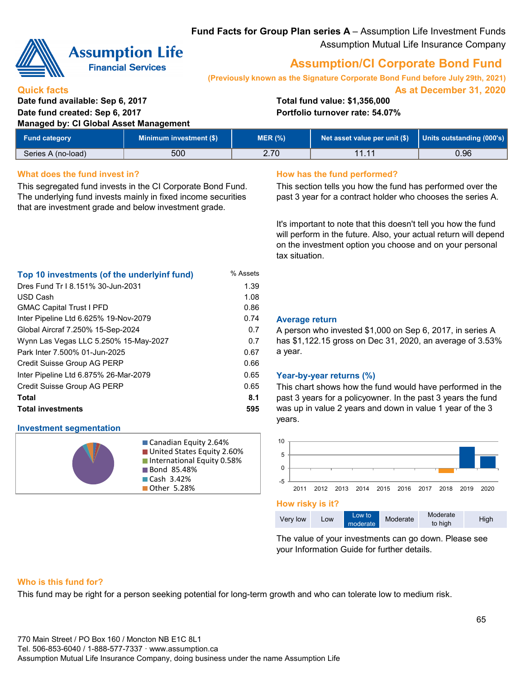**Fund Facts for Group Plan series A** – Assumption Life Investment Funds Assumption Mutual Life Insurance Company



# **Assumption Life**

**Financial Services** 

### **Quick facts**

USD Cash

### **Date fund available: Sep 6, 2017 Total fund value: \$1,356,000 Date fund created: Sep 6, 2017 Portfolio turnover rate: 54.07% Managed by: CI Global Asset Management**

# **Assumption/CI Corporate Bond Fund**

**As at December 31, 2020 (Previously known as the Signature Corporate Bond Fund before July 29th, 2021)**

| <b>Fund category</b> | Minimum investment (\$) | MER (%) | Net asset value per unit (\$) | Units outstanding (000's) |
|----------------------|-------------------------|---------|-------------------------------|---------------------------|
| Series A (no-load)   | 500                     | 2.70    | 11.11                         | 0.96                      |

1.08

 $0.74$   $0.7$ 

0.7 0.67 0.66

0.65

### **What does the fund invest in? How has the fund performed?**

Global Aircraf 7.250% 15-Sep-2024

Inter Pipeline Ltd 6.625% 19-Nov-2079

Wynn Las Vegas LLC 5.250% 15-May-2027

Inter Pipeline Ltd 6.875% 26-Mar-2079

**Investment segmentation**

Credit Suisse Group AG PERP

Credit Suisse Group AG PERP

Park Inter 7.500% 01-Jun-2025

This segregated fund invests in the CI Corporate Bond Fund. The underlying fund invests mainly in fixed income securities that are investment grade and below investment grade.

**Top 10 investments (of the underlyinf fund)** % Assets Dres Fund Tr I 8.151% 30-Jun-2031 1.39

GMAC Capital Trust I PFD 0.86

**Total 8.1 Total investments 595**

This section tells you how the fund has performed over the past 3 year for a contract holder who chooses the series A.

It's important to note that this doesn't tell you how the fund will perform in the future. Also, your actual return will depend on the investment option you choose and on your personal tax situation.

| <b>Average return</b> |  |
|-----------------------|--|

A person who invested \$1,000 on Sep 6, 2017, in series A has \$1,122.15 gross on Dec 31, 2020, an average of 3.53% a year.

#### 0.65 **Year-by-year returns (%)**

This chart shows how the fund would have performed in the past 3 years for a policyowner. In the past 3 years the fund was up in value 2 years and down in value 1 year of the 3 years.



|  | Very low | Low | Low to<br>moderate | Moderate | Moderate<br>to high | High |
|--|----------|-----|--------------------|----------|---------------------|------|
|--|----------|-----|--------------------|----------|---------------------|------|

The value of your investments can go down. Please see your Information Guide for further details.

#### **Who is this fund for?**

This fund may be right for a person seeking potential for long-term growth and who can tolerate low to medium risk.

Canadian Equity 2.64% **United States Equity 2.60%** ■ International Equity 0.58%

**Bond 85.48%** ■ Cash 3.42% ■ Other 5.28%